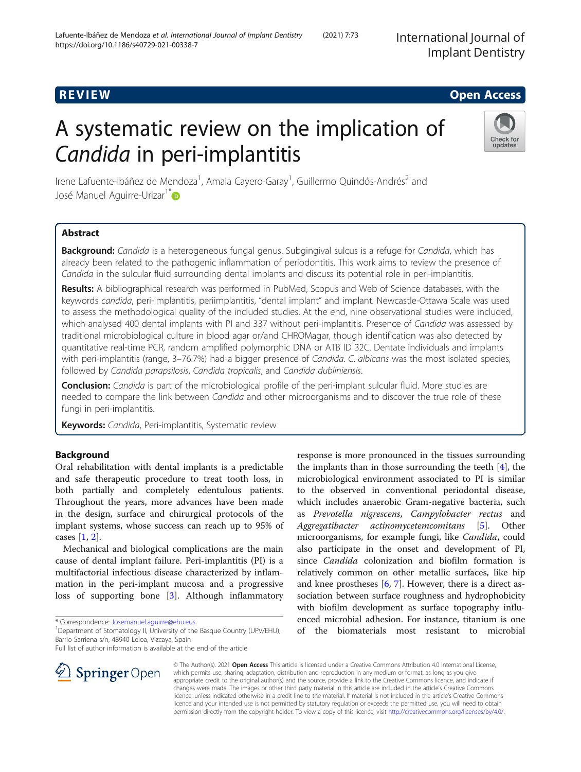# R EVI EW Open Access

# A systematic review on the implication of Candida in peri-implantitis



Irene Lafuente-Ibáñez de Mendoza<sup>1</sup>, Amaia Cayero-Garay<sup>1</sup>, Guillermo Quindós-Andrés<sup>2</sup> and José Manuel Aguirre-Urizar<sup>1\*</sup>

# Abstract

Background: Candida is a heterogeneous fungal genus. Subgingival sulcus is a refuge for Candida, which has already been related to the pathogenic inflammation of periodontitis. This work aims to review the presence of Candida in the sulcular fluid surrounding dental implants and discuss its potential role in peri-implantitis.

Results: A bibliographical research was performed in PubMed, Scopus and Web of Science databases, with the keywords candida, peri-implantitis, periimplantitis, "dental implant" and implant. Newcastle-Ottawa Scale was used to assess the methodological quality of the included studies. At the end, nine observational studies were included, which analysed 400 dental implants with PI and 337 without peri-implantitis. Presence of Candida was assessed by traditional microbiological culture in blood agar or/and CHROMagar, though identification was also detected by quantitative real-time PCR, random amplified polymorphic DNA or ATB ID 32C. Dentate individuals and implants with peri-implantitis (range, 3-76.7%) had a bigger presence of Candida. C. albicans was the most isolated species, followed by Candida parapsilosis, Candida tropicalis, and Candida dubliniensis.

**Conclusion:** Candida is part of the microbiological profile of the peri-implant sulcular fluid. More studies are needed to compare the link between Candida and other microorganisms and to discover the true role of these fungi in peri-implantitis.

Keywords: Candida, Peri-implantitis, Systematic review

# Background

Oral rehabilitation with dental implants is a predictable and safe therapeutic procedure to treat tooth loss, in both partially and completely edentulous patients. Throughout the years, more advances have been made in the design, surface and chirurgical protocols of the implant systems, whose success can reach up to 95% of cases [[1](#page-6-0), [2](#page-6-0)].

Mechanical and biological complications are the main cause of dental implant failure. Peri-implantitis (PI) is a multifactorial infectious disease characterized by inflammation in the peri-implant mucosa and a progressive loss of supporting bone [[3\]](#page-6-0). Although inflammatory

\* Correspondence: [Josemanuel.aguirre@ehu.eus](mailto:Josemanuel.aguirre@ehu.eus) <sup>1</sup>

Full list of author information is available at the end of the article

the implants than in those surrounding the teeth  $[4]$  $[4]$ , the microbiological environment associated to PI is similar to the observed in conventional periodontal disease, which includes anaerobic Gram-negative bacteria, such as Prevotella nigrescens, Campylobacter rectus and Aggregatibacter actinomycetemcomitans [\[5\]](#page-6-0). Other microorganisms, for example fungi, like Candida, could also participate in the onset and development of PI, since Candida colonization and biofilm formation is relatively common on other metallic surfaces, like hip and knee prostheses  $[6, 7]$  $[6, 7]$  $[6, 7]$  $[6, 7]$  $[6, 7]$ . However, there is a direct association between surface roughness and hydrophobicity with biofilm development as surface topography influenced microbial adhesion. For instance, titanium is one of the biomaterials most resistant to microbial

response is more pronounced in the tissues surrounding



© The Author(s). 2021 Open Access This article is licensed under a Creative Commons Attribution 4.0 International License, which permits use, sharing, adaptation, distribution and reproduction in any medium or format, as long as you give appropriate credit to the original author(s) and the source, provide a link to the Creative Commons licence, and indicate if changes were made. The images or other third party material in this article are included in the article's Creative Commons licence, unless indicated otherwise in a credit line to the material. If material is not included in the article's Creative Commons licence and your intended use is not permitted by statutory regulation or exceeds the permitted use, you will need to obtain permission directly from the copyright holder. To view a copy of this licence, visit <http://creativecommons.org/licenses/by/4.0/>.

<sup>&</sup>lt;sup>1</sup> Department of Stomatology II, University of the Basque Country (UPV/EHU), Barrio Sarriena s/n, 48940 Leioa, Vizcaya, Spain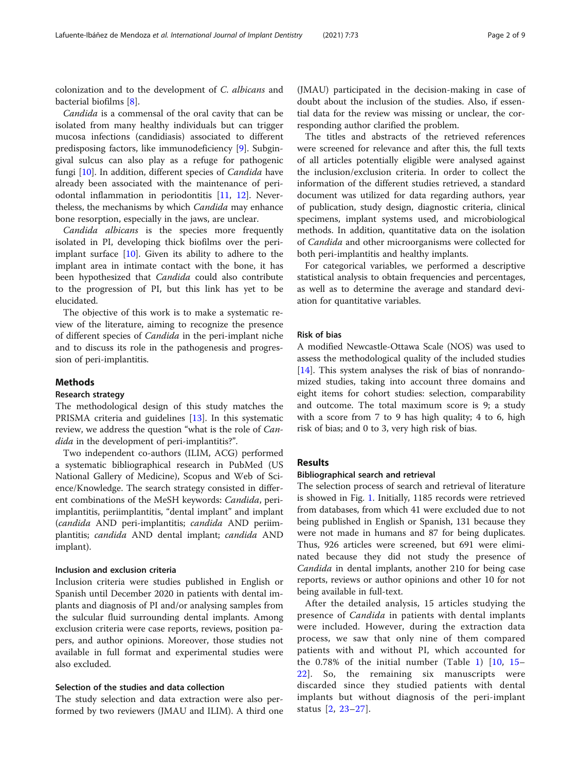colonization and to the development of C. albicans and bacterial biofilms [\[8](#page-6-0)].

Candida is a commensal of the oral cavity that can be isolated from many healthy individuals but can trigger mucosa infections (candidiasis) associated to different predisposing factors, like immunodeficiency [\[9\]](#page-7-0). Subgingival sulcus can also play as a refuge for pathogenic fungi [[10\]](#page-7-0). In addition, different species of Candida have already been associated with the maintenance of periodontal inflammation in periodontitis [\[11](#page-7-0), [12](#page-7-0)]. Nevertheless, the mechanisms by which Candida may enhance bone resorption, especially in the jaws, are unclear.

Candida albicans is the species more frequently isolated in PI, developing thick biofilms over the periimplant surface  $[10]$ . Given its ability to adhere to the implant area in intimate contact with the bone, it has been hypothesized that *Candida* could also contribute to the progression of PI, but this link has yet to be elucidated.

The objective of this work is to make a systematic review of the literature, aiming to recognize the presence of different species of Candida in the peri-implant niche and to discuss its role in the pathogenesis and progression of peri-implantitis.

#### Methods

#### Research strategy

The methodological design of this study matches the PRISMA criteria and guidelines [\[13\]](#page-7-0). In this systematic review, we address the question "what is the role of Candida in the development of peri-implantitis?".

Two independent co-authors (ILIM, ACG) performed a systematic bibliographical research in PubMed (US National Gallery of Medicine), Scopus and Web of Science/Knowledge. The search strategy consisted in different combinations of the MeSH keywords: Candida, periimplantitis, periimplantitis, "dental implant" and implant (candida AND peri-implantitis; candida AND periimplantitis; candida AND dental implant; candida AND implant).

#### Inclusion and exclusion criteria

Inclusion criteria were studies published in English or Spanish until December 2020 in patients with dental implants and diagnosis of PI and/or analysing samples from the sulcular fluid surrounding dental implants. Among exclusion criteria were case reports, reviews, position papers, and author opinions. Moreover, those studies not available in full format and experimental studies were also excluded.

#### Selection of the studies and data collection

The study selection and data extraction were also performed by two reviewers (JMAU and ILIM). A third one

(JMAU) participated in the decision-making in case of doubt about the inclusion of the studies. Also, if essential data for the review was missing or unclear, the corresponding author clarified the problem.

The titles and abstracts of the retrieved references were screened for relevance and after this, the full texts of all articles potentially eligible were analysed against the inclusion/exclusion criteria. In order to collect the information of the different studies retrieved, a standard document was utilized for data regarding authors, year of publication, study design, diagnostic criteria, clinical specimens, implant systems used, and microbiological methods. In addition, quantitative data on the isolation of Candida and other microorganisms were collected for both peri-implantitis and healthy implants.

For categorical variables, we performed a descriptive statistical analysis to obtain frequencies and percentages, as well as to determine the average and standard deviation for quantitative variables.

#### Risk of bias

A modified Newcastle-Ottawa Scale (NOS) was used to assess the methodological quality of the included studies [[14\]](#page-7-0). This system analyses the risk of bias of nonrandomized studies, taking into account three domains and eight items for cohort studies: selection, comparability and outcome. The total maximum score is 9; a study with a score from 7 to 9 has high quality; 4 to 6, high risk of bias; and 0 to 3, very high risk of bias.

#### Results

#### Bibliographical search and retrieval

The selection process of search and retrieval of literature is showed in Fig. [1](#page-2-0). Initially, 1185 records were retrieved from databases, from which 41 were excluded due to not being published in English or Spanish, 131 because they were not made in humans and 87 for being duplicates. Thus, 926 articles were screened, but 691 were eliminated because they did not study the presence of Candida in dental implants, another 210 for being case reports, reviews or author opinions and other 10 for not being available in full-text.

After the detailed analysis, 15 articles studying the presence of *Candida* in patients with dental implants were included. However, during the extraction data process, we saw that only nine of them compared patients with and without PI, which accounted for the  $0.78\%$  of the initial number (Table [1](#page-2-0))  $[10, 15 [10, 15 [10, 15 [10, 15 [10, 15-$ [22\]](#page-7-0). So, the remaining six manuscripts were discarded since they studied patients with dental implants but without diagnosis of the peri-implant status [[2,](#page-6-0) [23](#page-7-0)–[27\]](#page-7-0).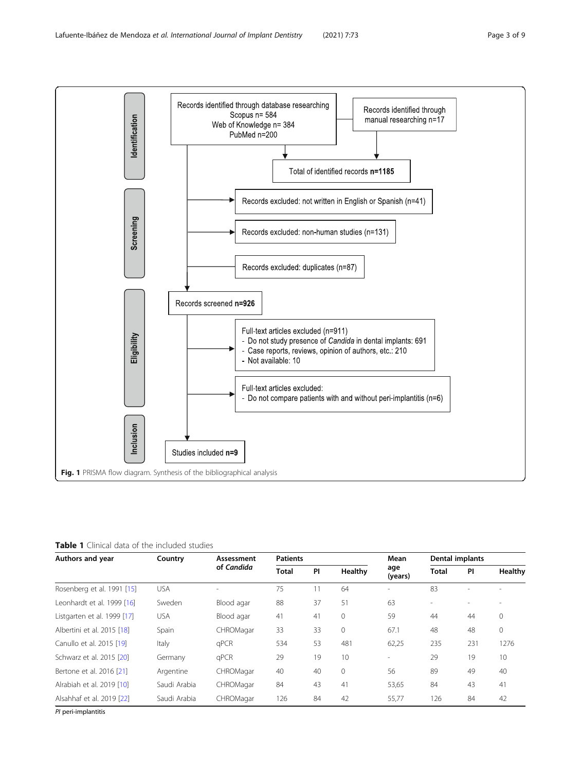

<span id="page-2-0"></span>

#### Table 1 Clinical data of the included studies

| Authors and year            | Country      | Assessment<br>of Candida | <b>Patients</b> |    |         | Mean           | Dental implants |           |         |
|-----------------------------|--------------|--------------------------|-----------------|----|---------|----------------|-----------------|-----------|---------|
|                             |              |                          | <b>Total</b>    | PI | Healthy | age<br>(years) | Total           | <b>PI</b> | Healthy |
| Rosenberg et al. 1991 [15]  | USA          |                          | 75              | 11 | 64      |                | 83              |           |         |
| Leonhardt et al. 1999 [16]  | Sweden       | Blood agar               | 88              | 37 | 51      | 63             |                 |           |         |
| Listgarten et al. 1999 [17] | <b>USA</b>   | Blood agar               | 41              | 41 | 0       | 59             | 44              | 44        | 0       |
| Albertini et al. 2015 [18]  | Spain        | CHROMagar                | 33              | 33 | 0       | 67.1           | 48              | 48        | 0       |
| Canullo et al. 2015 [19]    | Italy        | qPCR                     | 534             | 53 | 481     | 62,25          | 235             | 231       | 1276    |
| Schwarz et al. 2015 [20]    | Germany      | qPCR                     | 29              | 19 | 10      | ٠              | 29              | 19        | 10      |
| Bertone et al. 2016 [21]    | Argentine    | CHROMagar                | 40              | 40 | $\circ$ | 56             | 89              | 49        | 40      |
| Alrabiah et al. 2019 [10]   | Saudi Arabia | CHROMagar                | 84              | 43 | 41      | 53,65          | 84              | 43        | 41      |
| Alsahhaf et al. 2019 [22]   | Saudi Arabia | CHROMagar                | 126             | 84 | 42      | 55,77          | 126             | 84        | 42      |

PI peri-implantitis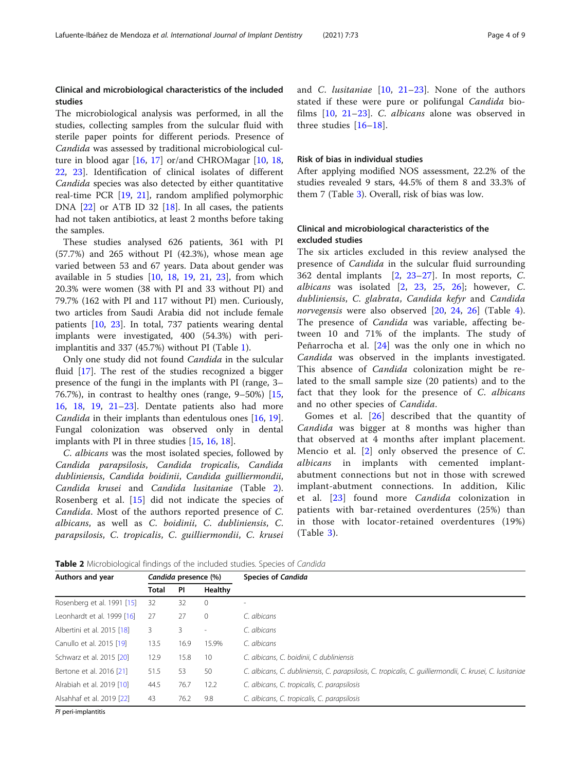### Clinical and microbiological characteristics of the included studies

The microbiological analysis was performed, in all the studies, collecting samples from the sulcular fluid with sterile paper points for different periods. Presence of Candida was assessed by traditional microbiological culture in blood agar [[16,](#page-7-0) [17](#page-7-0)] or/and CHROMagar [\[10,](#page-7-0) [18](#page-7-0), [22,](#page-7-0) [23\]](#page-7-0). Identification of clinical isolates of different Candida species was also detected by either quantitative real-time PCR [[19,](#page-7-0) [21](#page-7-0)], random amplified polymorphic DNA [\[22](#page-7-0)] or ATB ID 32 [[18](#page-7-0)]. In all cases, the patients had not taken antibiotics, at least 2 months before taking the samples.

These studies analysed 626 patients, 361 with PI (57.7%) and 265 without PI (42.3%), whose mean age varied between 53 and 67 years. Data about gender was available in 5 studies [[10,](#page-7-0) [18](#page-7-0), [19](#page-7-0), [21,](#page-7-0) [23](#page-7-0)], from which 20.3% were women (38 with PI and 33 without PI) and 79.7% (162 with PI and 117 without PI) men. Curiously, two articles from Saudi Arabia did not include female patients [[10,](#page-7-0) [23](#page-7-0)]. In total, 737 patients wearing dental implants were investigated, 400 (54.3%) with periimplantitis and 337 (45.7%) without PI (Table [1](#page-2-0)).

Only one study did not found Candida in the sulcular fluid [\[17\]](#page-7-0). The rest of the studies recognized a bigger presence of the fungi in the implants with PI (range, 3– 76.7%), in contrast to healthy ones (range, 9–50%) [[15](#page-7-0), [16,](#page-7-0) [18,](#page-7-0) [19](#page-7-0), [21](#page-7-0)–[23](#page-7-0)]. Dentate patients also had more Candida in their implants than edentulous ones [\[16](#page-7-0), [19](#page-7-0)]. Fungal colonization was observed only in dental implants with PI in three studies [[15](#page-7-0), [16](#page-7-0), [18](#page-7-0)].

C. albicans was the most isolated species, followed by Candida parapsilosis, Candida tropicalis, Candida dubliniensis, Candida boidinii, Candida guilliermondii, Candida krusei and Candida lusitaniae (Table 2). Rosenberg et al. [[15\]](#page-7-0) did not indicate the species of Candida. Most of the authors reported presence of C. albicans, as well as C. boidinii, C. dubliniensis, C. parapsilosis, C. tropicalis, C. guilliermondii, C. krusei and C. *lusitaniae*  $[10, 21-23]$  $[10, 21-23]$  $[10, 21-23]$  $[10, 21-23]$  $[10, 21-23]$  $[10, 21-23]$ . None of the authors stated if these were pure or polifungal Candida biofilms [\[10](#page-7-0), [21](#page-7-0)–[23\]](#page-7-0). C. albicans alone was observed in three studies [\[16](#page-7-0)–[18](#page-7-0)].

#### Risk of bias in individual studies

After applying modified NOS assessment, 22.2% of the studies revealed 9 stars, 44.5% of them 8 and 33.3% of them 7 (Table [3\)](#page-4-0). Overall, risk of bias was low.

## Clinical and microbiological characteristics of the excluded studies

The six articles excluded in this review analysed the presence of *Candida* in the sulcular fluid surrounding 362 dental implants [[2,](#page-6-0) [23](#page-7-0)–[27\]](#page-7-0). In most reports, C. albicans was isolated  $[2, 23, 25, 26]$  $[2, 23, 25, 26]$  $[2, 23, 25, 26]$  $[2, 23, 25, 26]$  $[2, 23, 25, 26]$  $[2, 23, 25, 26]$  $[2, 23, 25, 26]$  $[2, 23, 25, 26]$  $[2, 23, 25, 26]$ ; however, C. dubliniensis, C. glabrata, Candida kefyr and Candida norvegensis were also observed [\[20](#page-7-0), [24](#page-7-0), [26](#page-7-0)] (Table [4](#page-4-0)). The presence of *Candida* was variable, affecting between 10 and 71% of the implants. The study of Peñarrocha et al. [[24\]](#page-7-0) was the only one in which no Candida was observed in the implants investigated. This absence of *Candida* colonization might be related to the small sample size (20 patients) and to the fact that they look for the presence of C. albicans and no other species of Candida.

Gomes et al. [\[26](#page-7-0)] described that the quantity of Candida was bigger at 8 months was higher than that observed at 4 months after implant placement. Mencio et al. [[2](#page-6-0)] only observed the presence of C. albicans in implants with cemented implantabutment connections but not in those with screwed implant-abutment connections. In addition, Kilic et al. [\[23\]](#page-7-0) found more Candida colonization in patients with bar-retained overdentures (25%) than in those with locator-retained overdentures (19%) (Table [3](#page-4-0)).

Table 2 Microbiological findings of the included studies. Species of Candida

| Authors and year           | Candida presence (%)          |      |              | <b>Species of Candida</b>                                                                                 |  |  |  |
|----------------------------|-------------------------------|------|--------------|-----------------------------------------------------------------------------------------------------------|--|--|--|
|                            | Healthy<br><b>PI</b><br>Total |      |              |                                                                                                           |  |  |  |
| Rosenberg et al. 1991 [15] | 32                            | 32   | $\mathbf{0}$ | ٠                                                                                                         |  |  |  |
| Leonhardt et al. 1999 [16] | 27                            | 27   | $\mathbf{0}$ | C. albicans                                                                                               |  |  |  |
| Albertini et al. 2015 [18] | 3                             | 3.   | ٠            | C. albicans                                                                                               |  |  |  |
| Canullo et al. 2015 [19]   | 13.5                          | 16.9 | 15.9%        | C. albicans                                                                                               |  |  |  |
| Schwarz et al. 2015 [20]   | 12.9                          | 15.8 | 10           | C. albicans, C. boidinii, C dubliniensis                                                                  |  |  |  |
| Bertone et al. 2016 [21]   | 51.5                          | 53   | 50           | C. albicans, C. dubliniensis, C. parapsilosis, C. tropicalis, C. quilliermondii, C. krusei, C. lusitaniae |  |  |  |
| Alrabiah et al. 2019 [10]  | 44.5                          | 76.7 | 12.2         | C. albicans, C. tropicalis, C. parapsilosis                                                               |  |  |  |
| Alsahhaf et al. 2019 [22]  | 43                            | 76.2 | 9.8          | C. albicans, C. tropicalis, C. parapsilosis                                                               |  |  |  |

PI peri-implantitis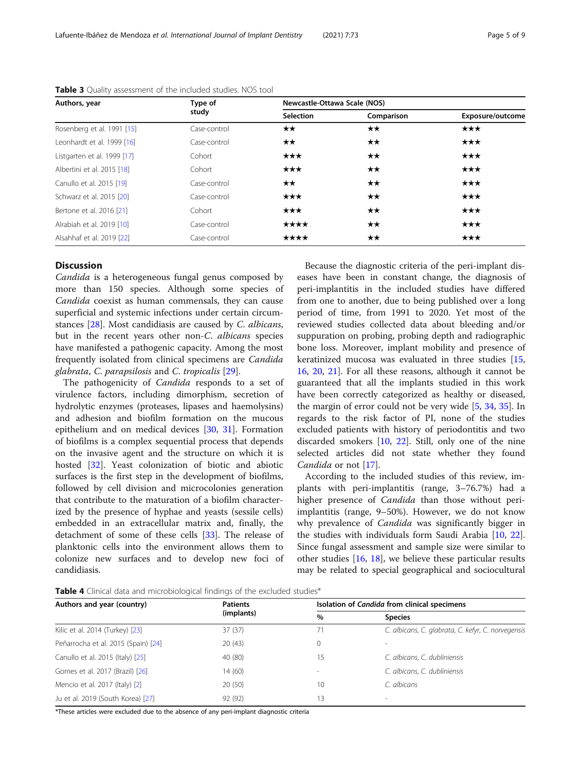| Authors, year               | Type of      | Newcastle-Ottawa Scale (NOS) |              |                   |  |  |
|-----------------------------|--------------|------------------------------|--------------|-------------------|--|--|
|                             | study        | <b>Selection</b>             | Comparison   | Exposure/outcome  |  |  |
| Rosenberg et al. 1991 [15]  | Case-control | $\star\star$                 | $\star\star$ | $\star\star\star$ |  |  |
| Leonhardt et al. 1999 [16]  | Case-control | $\star\star$                 | $\star\star$ | $\star\star\star$ |  |  |
| Listgarten et al. 1999 [17] | Cohort       | $\star\star\star$            | $\star\star$ | $\star\star\star$ |  |  |
| Albertini et al. 2015 [18]  | Cohort       | $\star\star\star$            | $\star\star$ | $\star\star\star$ |  |  |
| Canullo et al. 2015 [19]    | Case-control | $\star\star$                 | $\star\star$ | $\star\star\star$ |  |  |
| Schwarz et al. 2015 [20]    | Case-control | $\star\star\star$            | $\star\star$ | $\star\star\star$ |  |  |
| Bertone et al. 2016 [21]    | Cohort       | $\star\star\star$            | $\star\star$ | $\star\star\star$ |  |  |
| Alrabiah et al. 2019 [10]   | Case-control | ****                         | $\star\star$ | $\star\star\star$ |  |  |
| Alsahhaf et al. 2019 [22]   | Case-control | ****                         | $\star\star$ | $\star\star\star$ |  |  |

<span id="page-4-0"></span>

| Table 3 Quality assessment of the included studies. NOS tool |  |  |  |  |  |  |
|--------------------------------------------------------------|--|--|--|--|--|--|
|--------------------------------------------------------------|--|--|--|--|--|--|

#### **Discussion**

Candida is a heterogeneous fungal genus composed by more than 150 species. Although some species of Candida coexist as human commensals, they can cause superficial and systemic infections under certain circumstances [[28](#page-7-0)]. Most candidiasis are caused by C. albicans, but in the recent years other non-C. albicans species have manifested a pathogenic capacity. Among the most frequently isolated from clinical specimens are Candida glabrata, C. parapsilosis and C. tropicalis [[29](#page-7-0)].

The pathogenicity of *Candida* responds to a set of virulence factors, including dimorphism, secretion of hydrolytic enzymes (proteases, lipases and haemolysins) and adhesion and biofilm formation on the mucous epithelium and on medical devices [[30,](#page-7-0) [31](#page-7-0)]. Formation of biofilms is a complex sequential process that depends on the invasive agent and the structure on which it is hosted [\[32\]](#page-7-0). Yeast colonization of biotic and abiotic surfaces is the first step in the development of biofilms, followed by cell division and microcolonies generation that contribute to the maturation of a biofilm characterized by the presence of hyphae and yeasts (sessile cells) embedded in an extracellular matrix and, finally, the detachment of some of these cells [\[33](#page-7-0)]. The release of planktonic cells into the environment allows them to colonize new surfaces and to develop new foci of candidiasis.

Because the diagnostic criteria of the peri-implant diseases have been in constant change, the diagnosis of peri-implantitis in the included studies have differed from one to another, due to being published over a long period of time, from 1991 to 2020. Yet most of the reviewed studies collected data about bleeding and/or suppuration on probing, probing depth and radiographic bone loss. Moreover, implant mobility and presence of keratinized mucosa was evaluated in three studies [[15](#page-7-0), [16,](#page-7-0) [20](#page-7-0), [21](#page-7-0)]. For all these reasons, although it cannot be guaranteed that all the implants studied in this work have been correctly categorized as healthy or diseased, the margin of error could not be very wide [[5,](#page-6-0) [34,](#page-7-0) [35\]](#page-7-0). In regards to the risk factor of PI, none of the studies excluded patients with history of periodontitis and two discarded smokers [[10,](#page-7-0) [22](#page-7-0)]. Still, only one of the nine selected articles did not state whether they found Candida or not [[17\]](#page-7-0).

According to the included studies of this review, implants with peri-implantitis (range, 3–76.7%) had a higher presence of *Candida* than those without periimplantitis (range, 9–50%). However, we do not know why prevalence of *Candida* was significantly bigger in the studies with individuals form Saudi Arabia [[10](#page-7-0), [22](#page-7-0)]. Since fungal assessment and sample size were similar to other studies [[16](#page-7-0), [18\]](#page-7-0), we believe these particular results may be related to special geographical and sociocultural

Table 4 Clinical data and microbiological findings of the excluded studies\*

| Authors and year (country)          | <b>Patients</b> | Isolation of Candida from clinical specimens |                                                    |  |  |
|-------------------------------------|-----------------|----------------------------------------------|----------------------------------------------------|--|--|
|                                     | (implants)      | %                                            | <b>Species</b>                                     |  |  |
| Kilic et al. 2014 (Turkey) [23]     | 37(37)          | 71                                           | C. albicans, C. glabrata, C. kefyr, C. norvegensis |  |  |
| Peñarrocha et al. 2015 (Spain) [24] | 20(43)          | 0                                            |                                                    |  |  |
| Canullo et al. 2015 (Italy) [25]    | 40 (80)         | 15                                           | C. albicans, C. dubliniensis                       |  |  |
| Gomes et al. 2017 (Brazil) [26]     | 14 (60)         |                                              | C. albicans, C. dubliniensis                       |  |  |
| Mencio et al. 2017 (Italy) [2]      | 20(50)          | 10                                           | C. albicans                                        |  |  |
| Ju et al. 2019 (South Korea) [27]   | 92 (92)         | 13                                           | $\overline{\phantom{a}}$                           |  |  |

\*These articles were excluded due to the absence of any peri-implant diagnostic criteria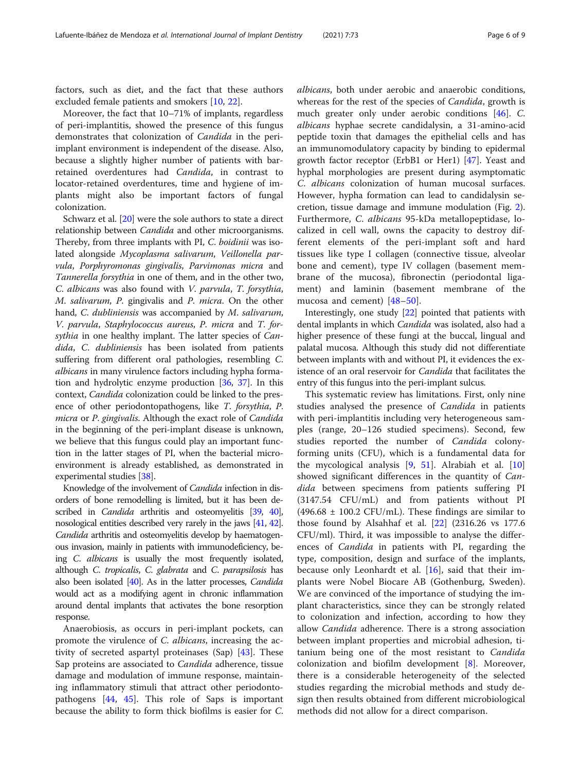factors, such as diet, and the fact that these authors excluded female patients and smokers [[10](#page-7-0), [22](#page-7-0)].

Moreover, the fact that 10–71% of implants, regardless of peri-implantitis, showed the presence of this fungus demonstrates that colonization of Candida in the periimplant environment is independent of the disease. Also, because a slightly higher number of patients with barretained overdentures had Candida, in contrast to locator-retained overdentures, time and hygiene of implants might also be important factors of fungal colonization.

Schwarz et al. [\[20\]](#page-7-0) were the sole authors to state a direct relationship between Candida and other microorganisms. Thereby, from three implants with PI, C. boidinii was isolated alongside Mycoplasma salivarum, Veillonella parvula, Porphyromonas gingivalis, Parvimonas micra and Tannerella forsythia in one of them, and in the other two, C. albicans was also found with V. parvula, T. forsythia, M. salivarum, P. gingivalis and P. micra. On the other hand, C. dubliniensis was accompanied by M. salivarum, V. parvula, Staphylococcus aureus, P. micra and T. forsythia in one healthy implant. The latter species of Candida, C. dubliniensis has been isolated from patients suffering from different oral pathologies, resembling C. albicans in many virulence factors including hypha formation and hydrolytic enzyme production [[36](#page-7-0), [37](#page-7-0)]. In this context, Candida colonization could be linked to the presence of other periodontopathogens, like T. forsythia, P. micra or P. gingivalis. Although the exact role of Candida in the beginning of the peri-implant disease is unknown, we believe that this fungus could play an important function in the latter stages of PI, when the bacterial microenvironment is already established, as demonstrated in experimental studies [[38](#page-7-0)].

Knowledge of the involvement of Candida infection in disorders of bone remodelling is limited, but it has been described in *Candida* arthritis and osteomyelitis [\[39](#page-7-0), [40\]](#page-7-0), nosological entities described very rarely in the jaws [\[41](#page-7-0), [42\]](#page-7-0). Candida arthritis and osteomyelitis develop by haematogenous invasion, mainly in patients with immunodeficiency, being C. albicans is usually the most frequently isolated, although C. tropicalis, C. glabrata and C. parapsilosis has also been isolated [\[40\]](#page-7-0). As in the latter processes, Candida would act as a modifying agent in chronic inflammation around dental implants that activates the bone resorption response.

Anaerobiosis, as occurs in peri-implant pockets, can promote the virulence of *C. albicans*, increasing the activity of secreted aspartyl proteinases (Sap) [[43](#page-7-0)]. These Sap proteins are associated to Candida adherence, tissue damage and modulation of immune response, maintaining inflammatory stimuli that attract other periodontopathogens [\[44](#page-7-0), [45\]](#page-7-0). This role of Saps is important because the ability to form thick biofilms is easier for C. albicans, both under aerobic and anaerobic conditions, whereas for the rest of the species of *Candida*, growth is much greater only under aerobic conditions [[46\]](#page-7-0). C. albicans hyphae secrete candidalysin, a 31-amino-acid peptide toxin that damages the epithelial cells and has an immunomodulatory capacity by binding to epidermal growth factor receptor (ErbB1 or Her1) [[47\]](#page-7-0). Yeast and hyphal morphologies are present during asymptomatic C. albicans colonization of human mucosal surfaces. However, hypha formation can lead to candidalysin secretion, tissue damage and immune modulation (Fig. [2](#page-6-0)). Furthermore, C. albicans 95-kDa metallopeptidase, localized in cell wall, owns the capacity to destroy different elements of the peri-implant soft and hard tissues like type I collagen (connective tissue, alveolar bone and cement), type IV collagen (basement membrane of the mucosa), fibronectin (periodontal ligament) and laminin (basement membrane of the mucosa and cement) [[48](#page-7-0)–[50\]](#page-8-0).

Interestingly, one study [\[22\]](#page-7-0) pointed that patients with dental implants in which Candida was isolated, also had a higher presence of these fungi at the buccal, lingual and palatal mucosa. Although this study did not differentiate between implants with and without PI, it evidences the existence of an oral reservoir for *Candida* that facilitates the entry of this fungus into the peri-implant sulcus.

This systematic review has limitations. First, only nine studies analysed the presence of Candida in patients with peri-implantitis including very heterogeneous samples (range, 20–126 studied specimens). Second, few studies reported the number of Candida colonyforming units (CFU), which is a fundamental data for the mycological analysis  $[9, 51]$  $[9, 51]$  $[9, 51]$  $[9, 51]$ . Alrabiah et al.  $[10]$  $[10]$ showed significant differences in the quantity of Candida between specimens from patients suffering PI (3147.54 CFU/mL) and from patients without PI  $(496.68 \pm 100.2 \text{ CFU/mL})$ . These findings are similar to those found by Alsahhaf et al. [\[22](#page-7-0)] (2316.26 vs 177.6 CFU/ml). Third, it was impossible to analyse the differences of Candida in patients with PI, regarding the type, composition, design and surface of the implants, because only Leonhardt et al.  $[16]$  $[16]$ , said that their implants were Nobel Biocare AB (Gothenburg, Sweden). We are convinced of the importance of studying the implant characteristics, since they can be strongly related to colonization and infection, according to how they allow Candida adherence. There is a strong association between implant properties and microbial adhesion, titanium being one of the most resistant to Candida colonization and biofilm development [[8\]](#page-6-0). Moreover, there is a considerable heterogeneity of the selected studies regarding the microbial methods and study design then results obtained from different microbiological methods did not allow for a direct comparison.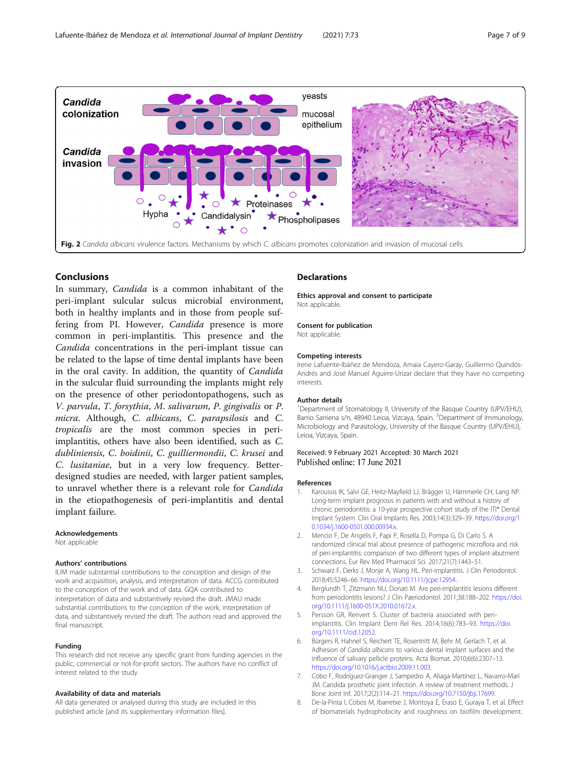<span id="page-6-0"></span>

### Conclusions

In summary, Candida is a common inhabitant of the peri-implant sulcular sulcus microbial environment, both in healthy implants and in those from people suffering from PI. However, Candida presence is more common in peri-implantitis. This presence and the Candida concentrations in the peri-implant tissue can be related to the lapse of time dental implants have been in the oral cavity. In addition, the quantity of Candida in the sulcular fluid surrounding the implants might rely on the presence of other periodontopathogens, such as V. parvula, T. forsythia, M. salivarum, P. gingivalis or P. micra. Although, C. albicans, C. parapsilosis and C. tropicalis are the most common species in periimplantitis, others have also been identified, such as C. dubliniensis, C. boidinii, C. guilliermondii, C. krusei and C. lusitaniae, but in a very low frequency. Betterdesigned studies are needed, with larger patient samples, to unravel whether there is a relevant role for Candida in the etiopathogenesis of peri-implantitis and dental implant failure.

#### Acknowledgements

Not applicable

#### Authors' contributions

ILIM made substantial contributions to the conception and design of the work and acquisition, analysis, and interpretation of data. ACCG contributed to the conception of the work and of data. GQA contributed to interpretation of data and substantively revised the draft. JMAU made substantial contributions to the conception of the work, interpretation of data, and substantively revised the draft. The authors read and approved the final manuscript.

#### Funding

This research did not receive any specific grant from funding agencies in the public, commercial or not-for-profit sectors. The authors have no conflict of interest related to the study.

#### Availability of data and materials

All data generated or analysed during this study are included in this published article [and its supplementary information files].

#### **Declarations**

Ethics approval and consent to participate Not applicable.

#### Consent for publication

Not applicable.

#### Competing interests

Irene Lafuente-Ibáñez de Mendoza, Amaia Cayero-Garay, Guillermo Quindós-Andrés and José Manuel Aguirre-Urizar declare that they have no competing interests.

#### Author details

<sup>1</sup>Department of Stomatology II, University of the Basque Country (UPV/EHU), Barrio Sarriena s/n, 48940 Leioa, Vizcaya, Spain. <sup>2</sup>Department of Immunology Microbiology and Parasitology, University of the Basque Country (UPV/EHU), Leioa, Vizcaya, Spain.

#### Received: 9 February 2021 Accepted: 30 March 2021 Published online: 17 June 2021

#### References

- 1. Karoussis IK, Salvi GE, Heitz-Mayfield LJ, Brägger U, Hämmerle CH, Lang NP. Long-term implant prognosis in patients with and without a history of chronic periodontitis: a 10-year prospective cohort study of the ITI® Dental Implant System. Clin Oral Implants Res. 2003;14(3):329–39. [https://doi.org/1](https://doi.org/10.1034/j.1600-0501.000.00934.x) [0.1034/j.1600-0501.000.00934.x](https://doi.org/10.1034/j.1600-0501.000.00934.x).
- 2. Mencio F, De Angelis F, Papi P, Rosella D, Pompa G, Di Carlo S. A randomized clinical trial about presence of pathogenic microflora and risk of peri-implantitis: comparison of two different types of implant-abutment connections. Eur Rev Med Pharmacol Sci. 2017;21(7):1443–51.
- Schwarz F, Derks J, Monje A, Wang HL. Peri-implantitis. J Clin Periodontol. 2018;45:S246–66. <https://doi.org/10.1111/jcpe.12954>.
- 4. Berglundh T, Zitzmann NU, Donati M. Are peri-implantitis lesions different from periodontitis lesions? J Clin Paeriodontol. 2011;38:188–202. [https://doi.](https://doi.org/10.1111/j.1600-051X.2010.01672.x) [org/10.1111/j.1600-051X.2010.01672.x.](https://doi.org/10.1111/j.1600-051X.2010.01672.x)
- 5. Persson GR, Renvert S. Cluster of bacteria associated with periimplantitis. Clin Implant Dent Rel Res. 2014;16(6):783–93. [https://doi.](https://doi.org/10.1111/cid.12052) [org/10.1111/cid.12052.](https://doi.org/10.1111/cid.12052)
- 6. Bürgers R, Hahnel S, Reichert TE, Rosentritt M, Behr M, Gerlach T, et al. Adhesion of Candida albicans to various dental implant surfaces and the influence of salivary pellicle proteins. Acta Biomat. 2010;6(6):2307–13. <https://doi.org/10.1016/j.actbio.2009.11.003>.
- 7. Cobo F, Rodríguez-Granger J, Sampedro A, Aliaga-Martínez L, Navarro-Marí JM. Candida prosthetic joint infection. A review of treatment methods. J Bone Joint Inf. 2017;2(2):114–21. [https://doi.org/10.7150/jbji.17699.](https://doi.org/10.7150/jbji.17699)
- 8. De-la-Pinta I, Cobos M, Ibarretxe J, Montoya E, Eraso E, Guraya T, et al. Effect of biomaterials hydrophobicity and roughness on biofilm development.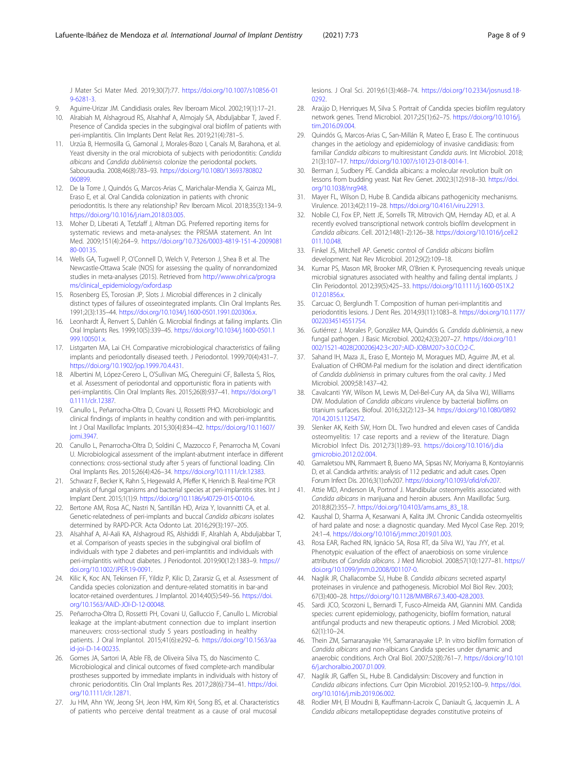<span id="page-7-0"></span>J Mater Sci Mater Med. 2019;30(7):77. [https://doi.org/10.1007/s10856-01](https://doi.org/10.1007/s10856-019-6281-3) [9-6281-3](https://doi.org/10.1007/s10856-019-6281-3).

- 9. Aguirre-Urizar JM. Candidiasis orales. Rev Iberoam Micol. 2002;19(1):17–21.
- 10. Alrabiah M, Alshagroud RS, Alsahhaf A, Almojaly SA, Abduljabbar T, Javed F. Presence of Candida species in the subgingival oral biofilm of patients with peri-implantitis. Clin Implants Dent Relat Res. 2019;21(4):781–5.
- 11. Urzúa B, Hermosilla G, Gamonal J, Morales-Bozo I, Canals M, Barahona, et al. Yeast diversity in the oral microbiota of subjects with periodontitis: Candida albicans and Candida dubliniensis colonize the periodontal pockets. Sabouraudia. 2008;46(8):783–93. [https://doi.org/10.1080/13693780802](https://doi.org/10.1080/13693780802060899) [060899](https://doi.org/10.1080/13693780802060899).
- 12. De la Torre J, Quindós G, Marcos-Arias C, Marichalar-Mendia X, Gainza ML, Eraso E, et al. Oral Candida colonization in patients with chronic periodontitis. Is there any relationship? Rev Iberoam Micol. 2018;35(3):134–9. <https://doi.org/10.1016/j.riam.2018.03.005>.
- 13. Moher D, Liberati A, Tetzlaff J, Altman DG. Preferred reporting items for systematic reviews and meta-analyses: the PRISMA statement. An Int Med. 2009;151(4):264–9. [https://doi.org/10.7326/0003-4819-151-4-2009081](https://doi.org/10.7326/0003-4819-151-4-200908180-00135) [80-00135](https://doi.org/10.7326/0003-4819-151-4-200908180-00135).
- 14. Wells GA, Tugwell P, O'Connell D, Welch V, Peterson J, Shea B et al. The Newcastle-Ottawa Scale (NOS) for assessing the quality of nonrandomized studies in meta-analyses (2015). Retrieved from [http://www.ohri.ca/progra](http://www.ohri.ca/programs/clinical_epidemiology/oxford.asp) [ms/clinical\\_epidemiology/oxford.asp](http://www.ohri.ca/programs/clinical_epidemiology/oxford.asp)
- 15. Rosenberg ES, Torosian JP, Slots J. Microbial differences in 2 clinically distinct types of failures of osseointegrated implants. Clin Oral Implants Res. 1991;2(3):135–44. <https://doi.org/10.1034/j.1600-0501.1991.020306.x>.
- 16. Leonhardt Å, Renvert S, Dahlén G. Microbial findings at failing implants. Clin Oral Implants Res. 1999;10(5):339–45. [https://doi.org/10.1034/j.1600-0501.1](https://doi.org/10.1034/j.1600-0501.1999.100501.x) [999.100501.x.](https://doi.org/10.1034/j.1600-0501.1999.100501.x)
- 17. Listgarten MA, Lai CH. Comparative microbiological characteristics of failing implants and periodontally diseased teeth. J Periodontol. 1999;70(4):431–7. [https://doi.org/10.1902/jop.1999.70.4.431.](https://doi.org/10.1902/jop.1999.70.4.431)
- 18. Albertini M, López-Cerero L, O'Sullivan MG, Chereguini CF, Ballesta S, Ríos, et al. Assessment of periodontal and opportunistic flora in patients with peri-implantitis. Clin Oral Implants Res. 2015;26(8):937–41. [https://doi.org/1](https://doi.org/10.1111/clr.12387) [0.1111/clr.12387](https://doi.org/10.1111/clr.12387).
- 19. Canullo L, Peñarrocha-Oltra D, Covani U, Rossetti PHO. Microbiologic and clinical findings of implants in healthy condition and with peri-implantitis. Int J Oral Maxillofac Implants. 2015;30(4):834–42. [https://doi.org/10.11607/](https://doi.org/10.11607/jomi.3947) [jomi.3947](https://doi.org/10.11607/jomi.3947).
- 20. Canullo L, Penarrocha-Oltra D, Soldini C, Mazzocco F, Penarrocha M, Covani U. Microbiological assessment of the implant-abutment interface in different connections: cross-sectional study after 5 years of functional loading. Clin Oral Implants Res. 2015;26(4):426–34. [https://doi.org/10.1111/clr.12383.](https://doi.org/10.1111/clr.12383)
- 21. Schwarz F, Becker K, Rahn S, Hegewald A, Pfeffer K, Henrich B. Real-time PCR analysis of fungal organisms and bacterial species at peri-implantitis sites. Int J Implant Dent. 2015;1(1):9. <https://doi.org/10.1186/s40729-015-0010-6>.
- 22. Bertone AM, Rosa AC, Nastri N, Santillán HD, Ariza Y, Iovannitti CA, et al. Genetic-relatedness of peri-implants and buccal Candida albicans isolates determined by RAPD-PCR. Acta Odonto Lat. 2016;29(3):197–205.
- 23. Alsahhaf A, Al-Aali KA, Alshagroud RS, Alshiddi IF, Alrahlah A, Abduljabbar T, et al. Comparison of yeasts species in the subgingival oral biofilm of individuals with type 2 diabetes and peri-implantitis and individuals with peri-implantitis without diabetes. J Periodontol. 2019;90(12):1383–9. [https://](https://doi.org/10.1002/JPER.19-0091) [doi.org/10.1002/JPER.19-0091.](https://doi.org/10.1002/JPER.19-0091)
- 24. Kilic K, Koc AN, Tekinsen FF, Yildiz P, Kilic D, Zararsiz G, et al. Assessment of Candida species colonization and denture-related stomatitis in bar-and locator-retained overdentures. J Implantol. 2014;40(5):549–56. [https://doi.](https://doi.org/10.1563/AAID-JOI-D-12-00048) [org/10.1563/AAID-JOI-D-12-00048.](https://doi.org/10.1563/AAID-JOI-D-12-00048)
- 25. Peñarrocha-Oltra D, Rossetti PH, Covani U, Galluccio F, Canullo L. Microbial leakage at the implant-abutment connection due to implant insertion maneuvers: cross-sectional study 5 years postloading in healthy patients. J Oral Implantol. 2015;41(6):e292–6. [https://doi.org/10.1563/aa](https://doi.org/10.1563/aaid-joi-D-14-00235) [id-joi-D-14-00235](https://doi.org/10.1563/aaid-joi-D-14-00235).
- 26. Gomes JA, Sartori IA, Able FB, de Oliveira Silva TS, do Nascimento C. Microbiological and clinical outcomes of fixed complete-arch mandibular prostheses supported by immediate implants in individuals with history of chronic periodontitis. Clin Oral Implants Res. 2017;28(6):734–41. [https://doi.](https://doi.org/10.1111/clr.12871) [org/10.1111/clr.12871.](https://doi.org/10.1111/clr.12871)
- 27. Ju HM, Ahn YW, Jeong SH, Jeon HM, Kim KH, Song BS, et al. Characteristics of patients who perceive dental treatment as a cause of oral mucosal

lesions. J Oral Sci. 2019;61(3):468–74. [https://doi.org/10.2334/josnusd.18-](https://doi.org/10.2334/josnusd.18-0292) [0292.](https://doi.org/10.2334/josnusd.18-0292)

- 28. Araújo D, Henriques M, Silva S. Portrait of Candida species biofilm regulatory network genes. Trend Microbiol. 2017;25(1):62–75. [https://doi.org/10.1016/j.](https://doi.org/10.1016/j.tim.2016.09.004) [tim.2016.09.004](https://doi.org/10.1016/j.tim.2016.09.004).
- 29. Quindós G, Marcos-Arias C, San-Millán R, Mateo E, Eraso E. The continuous changes in the aetiology and epidemiology of invasive candidiasis: from familiar Candida albicans to multiresistant Candida auris. Int Microbiol. 2018; 21(3):107–17. <https://doi.org/10.1007/s10123-018-0014-1>.
- 30. Berman J, Sudbery PE. Candida albicans: a molecular revolution built on lessons from budding yeast. Nat Rev Genet. 2002;3(12):918–30. [https://doi.](https://doi.org/10.1038/nrg948) [org/10.1038/nrg948.](https://doi.org/10.1038/nrg948)
- 31. Mayer FL, Wilson D, Hube B. Candida albicans pathogenicity mechanisms. Virulence. 2013;4(2):119–28. <https://doi.org/10.4161/viru.22913>.
- 32. Nobile CJ, Fox EP, Nett JE, Sorrells TR, Mitrovich QM, Hernday AD, et al. A recently evolved transcriptional network controls biofilm development in Candida albicans. Cell. 2012;148(1-2):126–38. [https://doi.org/10.1016/j.cell.2](https://doi.org/10.1016/j.cell.2011.10.048) [011.10.048](https://doi.org/10.1016/j.cell.2011.10.048).
- 33. Finkel JS, Mitchell AP. Genetic control of Candida albicans biofilm development. Nat Rev Microbiol. 2012;9(2):109–18.
- 34. Kumar PS, Mason MR, Brooker MR, O'Brien K. Pyrosequencing reveals unique microbial signatures associated with healthy and failing dental implants. J Clin Periodontol. 2012;39(5):425–33. [https://doi.org/10.1111/j.1600-051X.2](https://doi.org/10.1111/j.1600-051X.2012.01856.x) [012.01856.x](https://doi.org/10.1111/j.1600-051X.2012.01856.x).
- 35. Carcuac O, Berglundh T. Composition of human peri-implantitis and periodontitis lesions. J Dent Res. 2014;93(11):1083–8. [https://doi.org/10.1177/](https://doi.org/10.1177/0022034514551754) [0022034514551754](https://doi.org/10.1177/0022034514551754).
- 36. Gutiérrez J, Morales P, González MA, Quindós G. Candida dubliniensis, a new fungal pathogen. J Basic Microbiol. 2002;42(3):207–27. [https://doi.org/10.1](https://doi.org/10.1002/1521-4028(200206)42:3<207::AID-JOBM207>3.0.CO;2-C) [002/1521-4028\(200206\)42:3<207::AID-JOBM207>3.0.CO;2-C.](https://doi.org/10.1002/1521-4028(200206)42:3<207::AID-JOBM207>3.0.CO;2-C)
- 37. Sahand IH, Maza JL, Eraso E, Montejo M, Moragues MD, Aguirre JM, et al. Evaluation of CHROM-Pal medium for the isolation and direct identification of Candida dubliniensis in primary cultures from the oral cavity. J Med Microbiol. 2009;58:1437–42.
- 38. Cavalcanti YW, Wilson M, Lewis M, Del-Bel-Cury AA, da Silva WJ, Williams DW. Modulation of Candida albicans virulence by bacterial biofilms on titanium surfaces. Biofoul. 2016;32(2):123–34. [https://doi.org/10.1080/0892](https://doi.org/10.1080/08927014.2015.1125472) [7014.2015.1125472](https://doi.org/10.1080/08927014.2015.1125472).
- 39. Slenker AK, Keith SW, Horn DL. Two hundred and eleven cases of Candida osteomyelitis: 17 case reports and a review of the literature. Diagn Microbiol Infect Dis. 2012;73(1):89–93. [https://doi.org/10.1016/j.dia](https://doi.org/10.1016/j.diagmicrobio.2012.02.004) [gmicrobio.2012.02.004](https://doi.org/10.1016/j.diagmicrobio.2012.02.004).
- 40. Gamaletsou MN, Rammaert B, Bueno MA, Sipsas NV, Moriyama B, Kontoyiannis D, et al. Candida arthritis: analysis of 112 pediatric and adult cases. Open Forum Infect Dis. 2016;3(1):ofv207. <https://doi.org/10.1093/ofid/ofv207>.
- 41. Attie MD, Anderson IA, Portnof J. Mandibular osteomyelitis associated with Candida albicans in marijuana and heroin abusers. Ann Maxillofac Surg. 2018;8(2):355–7. [https://doi.org/10.4103/ams.ams\\_83\\_18](https://doi.org/10.4103/ams.ams_83_18).
- 42. Kaushal D, Sharma A, Kesarwani A, Kalita JM. Chronic Candida osteomyelitis of hard palate and nose: a diagnostic quandary. Med Mycol Case Rep. 2019; 24:1–4. <https://doi.org/10.1016/j.mmcr.2019.01.003>.
- 43. Rosa EAR, Rached RN, Ignácio SA, Rosa RT, da Silva WJ, Yau JYY, et al. Phenotypic evaluation of the effect of anaerobiosis on some virulence attributes of Candida albicans. J Med Microbiol. 2008;57(10):1277–81. [https://](https://doi.org/10.1099/jmm.0.2008/001107-0) [doi.org/10.1099/jmm.0.2008/001107-0](https://doi.org/10.1099/jmm.0.2008/001107-0).
- 44. Naglik JR, Challacombe SJ, Hube B. Candida albicans secreted aspartyl proteinases in virulence and pathogenesis. Microbiol Mol Biol Rev. 2003; 67(3):400–28. <https://doi.org/10.1128/MMBR.67.3.400-428.2003>.
- 45. Sardi JCO, Scorzoni L, Bernardi T, Fusco-Almeida AM, Giannini MM. Candida species: current epidemiology, pathogenicity, biofilm formation, natural antifungal products and new therapeutic options. J Med Microbiol. 2008; 62(1):10–24.
- 46. Thein ZM, Samaranayake YH, Samaranayake LP. In vitro biofilm formation of Candida albicans and non-albicans Candida species under dynamic and anaerobic conditions. Arch Oral Biol. 2007;52(8):761–7. [https://doi.org/10.101](https://doi.org/10.1016/j.archoralbio.2007.01.009) [6/j.archoralbio.2007.01.009](https://doi.org/10.1016/j.archoralbio.2007.01.009).
- 47. Naglik JR, Gaffen SL, Hube B. Candidalysin: Discovery and function in Candida albicans infections. Curr Opin Microbiol. 2019;52:100–9. [https://doi.](https://doi.org/10.1016/j.mib.2019.06.002) [org/10.1016/j.mib.2019.06.002](https://doi.org/10.1016/j.mib.2019.06.002).
- 48. Rodier MH, El Moudni B, Kauffmann-Lacroix C, Daniault G, Jacquemin JL. A Candida albicans metallopeptidase degrades constitutive proteins of